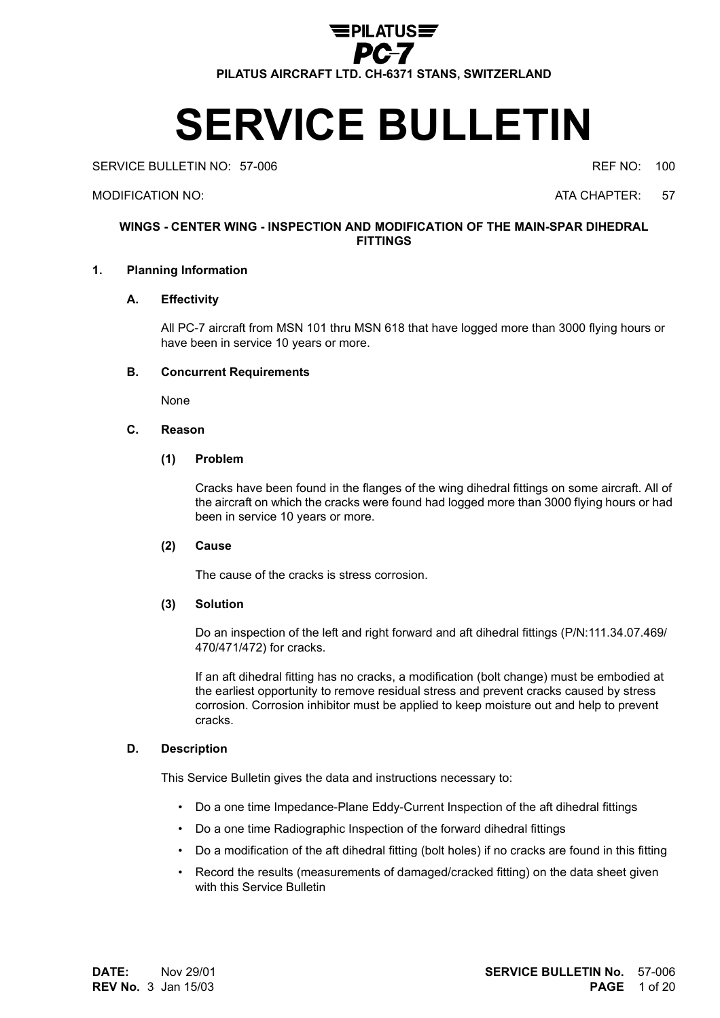

# **SERVICE BULLETIN**

SERVICE BULLETIN NO: 57-006 **REF NO: 100** REF NO: 100

MODIFICATION NO: ATA CHAPTER: 57

### **WINGS - CENTER WING - INSPECTION AND MODIFICATION OF THE MAIN-SPAR DIHEDRAL FITTINGS**

#### **1. Planning Information**

#### **A. Effectivity**

All PC-7 aircraft from MSN 101 thru MSN 618 that have logged more than 3000 flying hours or have been in service 10 years or more.

#### **B. Concurrent Requirements**

None

#### **C. Reason**

#### **(1) Problem**

Cracks have been found in the flanges of the wing dihedral fittings on some aircraft. All of the aircraft on which the cracks were found had logged more than 3000 flying hours or had been in service 10 years or more.

#### **(2) Cause**

The cause of the cracks is stress corrosion.

#### **(3) Solution**

Do an inspection of the left and right forward and aft dihedral fittings (P/N:111.34.07.469/ 470/471/472) for cracks.

If an aft dihedral fitting has no cracks, a modification (bolt change) must be embodied at the earliest opportunity to remove residual stress and prevent cracks caused by stress corrosion. Corrosion inhibitor must be applied to keep moisture out and help to prevent cracks.

#### **D. Description**

This Service Bulletin gives the data and instructions necessary to:

- Do a one time Impedance-Plane Eddy-Current Inspection of the aft dihedral fittings
- Do a one time Radiographic Inspection of the forward dihedral fittings
- Do a modification of the aft dihedral fitting (bolt holes) if no cracks are found in this fitting
- Record the results (measurements of damaged/cracked fitting) on the data sheet given with this Service Bulletin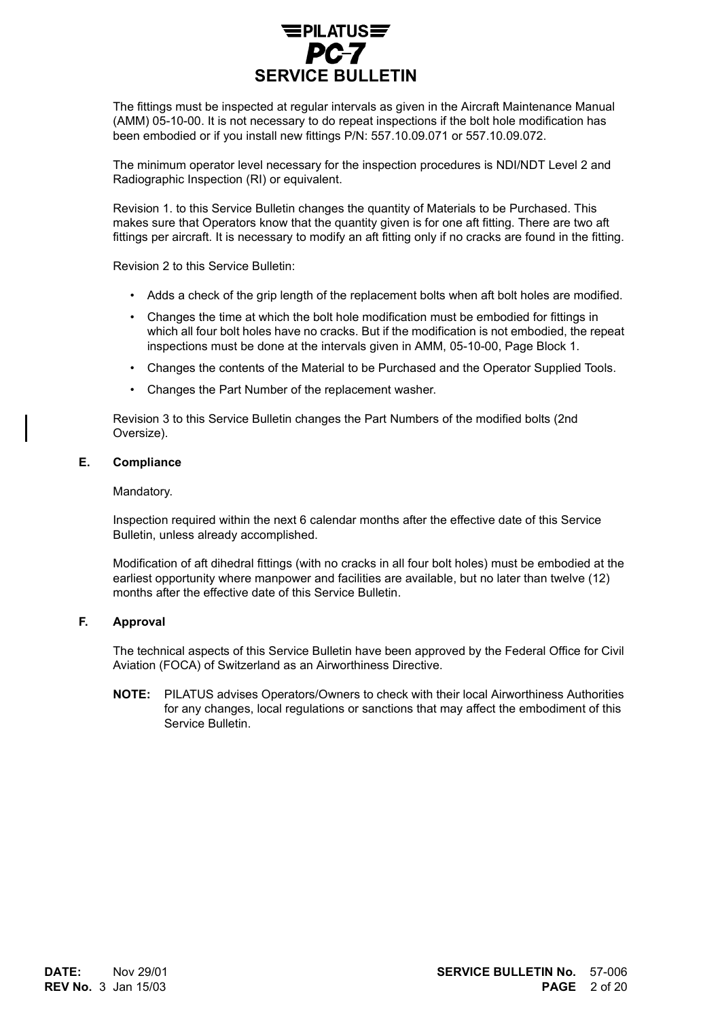

The fittings must be inspected at regular intervals as given in the Aircraft Maintenance Manual (AMM) 05-10-00. It is not necessary to do repeat inspections if the bolt hole modification has been embodied or if you install new fittings P/N: 557.10.09.071 or 557.10.09.072.

The minimum operator level necessary for the inspection procedures is NDI/NDT Level 2 and Radiographic Inspection (RI) or equivalent.

Revision 1. to this Service Bulletin changes the quantity of Materials to be Purchased. This makes sure that Operators know that the quantity given is for one aft fitting. There are two aft fittings per aircraft. It is necessary to modify an aft fitting only if no cracks are found in the fitting.

Revision 2 to this Service Bulletin:

- Adds a check of the grip length of the replacement bolts when aft bolt holes are modified.
- Changes the time at which the bolt hole modification must be embodied for fittings in which all four bolt holes have no cracks. But if the modification is not embodied, the repeat inspections must be done at the intervals given in AMM, 05-10-00, Page Block 1.
- Changes the contents of the Material to be Purchased and the Operator Supplied Tools.
- Changes the Part Number of the replacement washer.

Revision 3 to this Service Bulletin changes the Part Numbers of the modified bolts (2nd Oversize).

#### **E. Compliance**

#### Mandatory.

Inspection required within the next 6 calendar months after the effective date of this Service Bulletin, unless already accomplished.

Modification of aft dihedral fittings (with no cracks in all four bolt holes) must be embodied at the earliest opportunity where manpower and facilities are available, but no later than twelve (12) months after the effective date of this Service Bulletin.

#### **F. Approval**

The technical aspects of this Service Bulletin have been approved by the Federal Office for Civil Aviation (FOCA) of Switzerland as an Airworthiness Directive.

**NOTE:** PILATUS advises Operators/Owners to check with their local Airworthiness Authorities for any changes, local regulations or sanctions that may affect the embodiment of this Service Bulletin.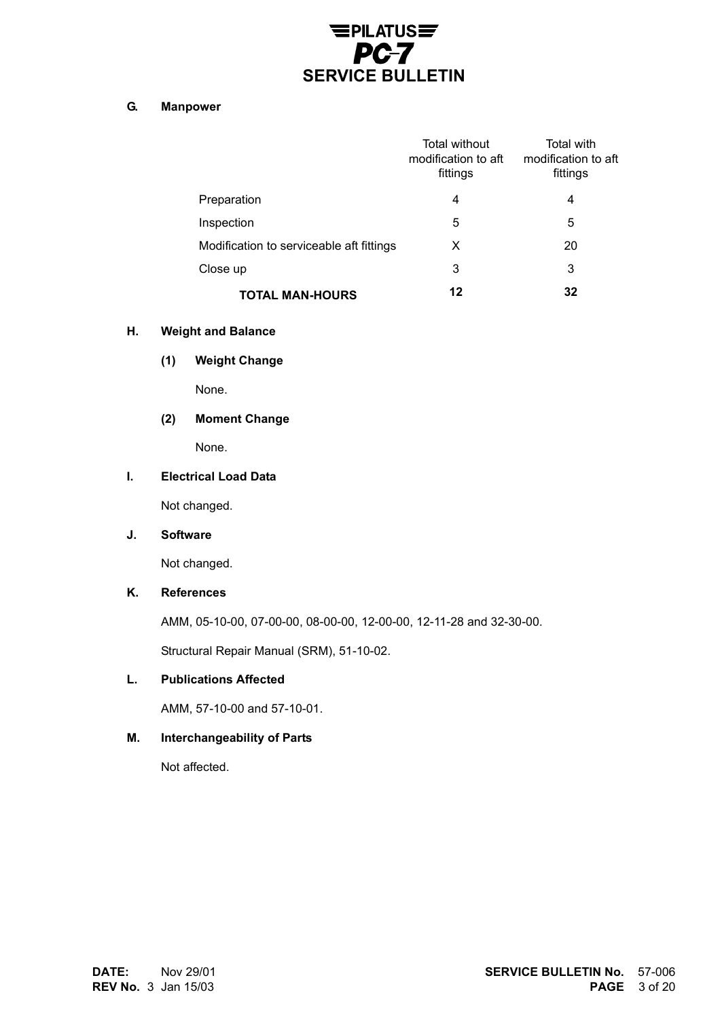# $E$ PILATUS $E$ PC-7 **SERVICE BULLETIN**

#### **G. Manpower**

|                                          | Total without<br>modification to aft<br>fittings | Total with<br>modification to aft<br>fittings |
|------------------------------------------|--------------------------------------------------|-----------------------------------------------|
| Preparation                              | 4                                                | 4                                             |
| Inspection                               | 5                                                | 5                                             |
| Modification to serviceable aft fittings | X                                                | 20                                            |
| Close up                                 | 3                                                | 3                                             |
| TOTAL MAN-HOURS                          | 12                                               | 32                                            |

#### **H. Weight and Balance**

**(1) Weight Change**

None.

# **(2) Moment Change**

None.

#### **I. Electrical Load Data**

Not changed.

#### **J. Software**

Not changed.

# **K. References**

AMM, 05-10-00, 07-00-00, 08-00-00, 12-00-00, 12-11-28 and 32-30-00.

Structural Repair Manual (SRM), 51-10-02.

#### **L. Publications Affected**

AMM, 57-10-00 and 57-10-01.

#### **M. Interchangeability of Parts**

Not affected.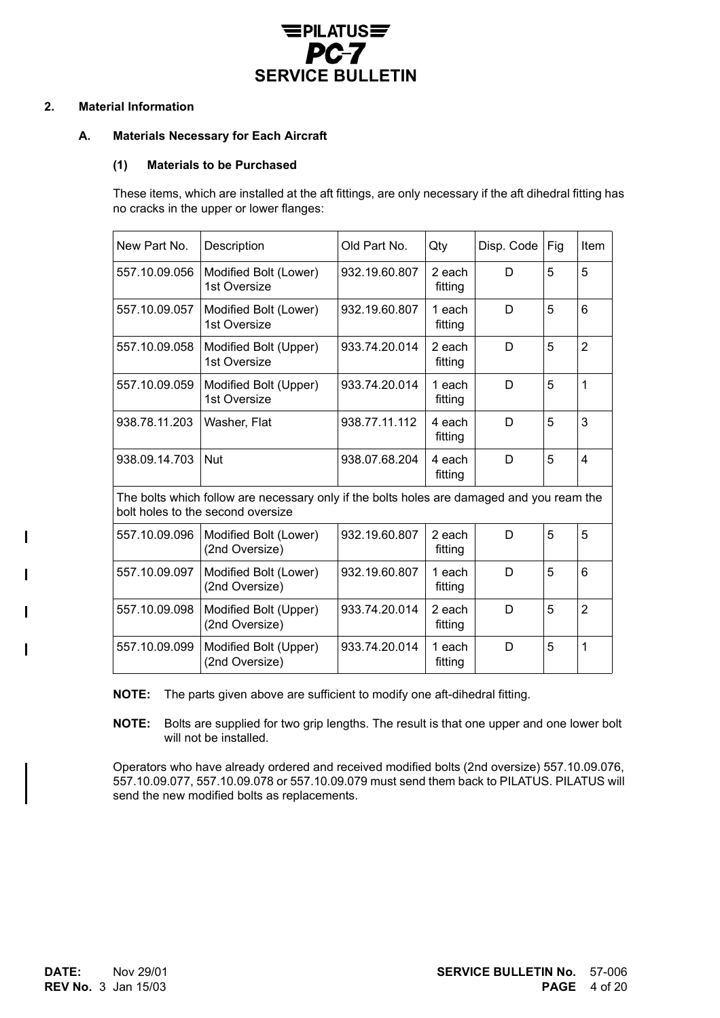

#### **2. Material Information**

#### **A. Materials Necessary for Each Aircraft**

#### **(1) Materials to be Purchased**

These items, which are installed at the aft fittings, are only necessary if the aft dihedral fitting has no cracks in the upper or lower flanges:

| New Part No.                                                                                                                   | Description                             | Old Part No.  | Qty               | Disp. Code | Fig | Item           |
|--------------------------------------------------------------------------------------------------------------------------------|-----------------------------------------|---------------|-------------------|------------|-----|----------------|
| 557.10.09.056                                                                                                                  | Modified Bolt (Lower)<br>1st Oversize   | 932.19.60.807 | 2 each<br>fitting | D          | 5   | 5              |
| 557.10.09.057                                                                                                                  | Modified Bolt (Lower)<br>1st Oversize   | 932.19.60.807 | 1 each<br>fitting | D          | 5   | 6              |
| 557.10.09.058                                                                                                                  | Modified Bolt (Upper)<br>1st Oversize   | 933.74.20.014 | 2 each<br>fitting | D          | 5   | $\overline{2}$ |
| 557.10.09.059                                                                                                                  | Modified Bolt (Upper)<br>1st Oversize   | 933.74.20.014 | 1 each<br>fitting | D          | 5   | $\mathbf{1}$   |
| 938.78.11.203                                                                                                                  | Washer, Flat                            | 938.77.11.112 | 4 each<br>fitting | D          | 5   | 3              |
| 938.09.14.703                                                                                                                  | <b>Nut</b>                              | 938.07.68.204 | 4 each<br>fitting | D          | 5   | 4              |
| The bolts which follow are necessary only if the bolts holes are damaged and you ream the<br>bolt holes to the second oversize |                                         |               |                   |            |     |                |
| 557.10.09.096                                                                                                                  | Modified Bolt (Lower)<br>(2nd Oversize) | 932.19.60.807 | 2 each<br>fitting | D          | 5   | 5              |
| 557.10.09.097                                                                                                                  | Modified Bolt (Lower)<br>(2nd Oversize) | 932.19.60.807 | 1 each<br>fitting | D          | 5   | 6              |
| 557.10.09.098                                                                                                                  | Modified Bolt (Upper)<br>(2nd Oversize) | 933.74.20.014 | 2 each<br>fitting | D          | 5   | $\overline{2}$ |
| 557.10.09.099                                                                                                                  | Modified Bolt (Upper)<br>(2nd Oversize) | 933.74.20.014 | 1 each<br>fitting | D          | 5   | 1              |

**NOTE:** The parts given above are sufficient to modify one aft-dihedral fitting.

**NOTE:** Bolts are supplied for two grip lengths. The result is that one upper and one lower bolt will not be installed.

Operators who have already ordered and received modified bolts (2nd oversize) 557.10.09.076, 557.10.09.077, 557.10.09.078 or 557.10.09.079 must send them back to PILATUS. PILATUS will send the new modified bolts as replacements.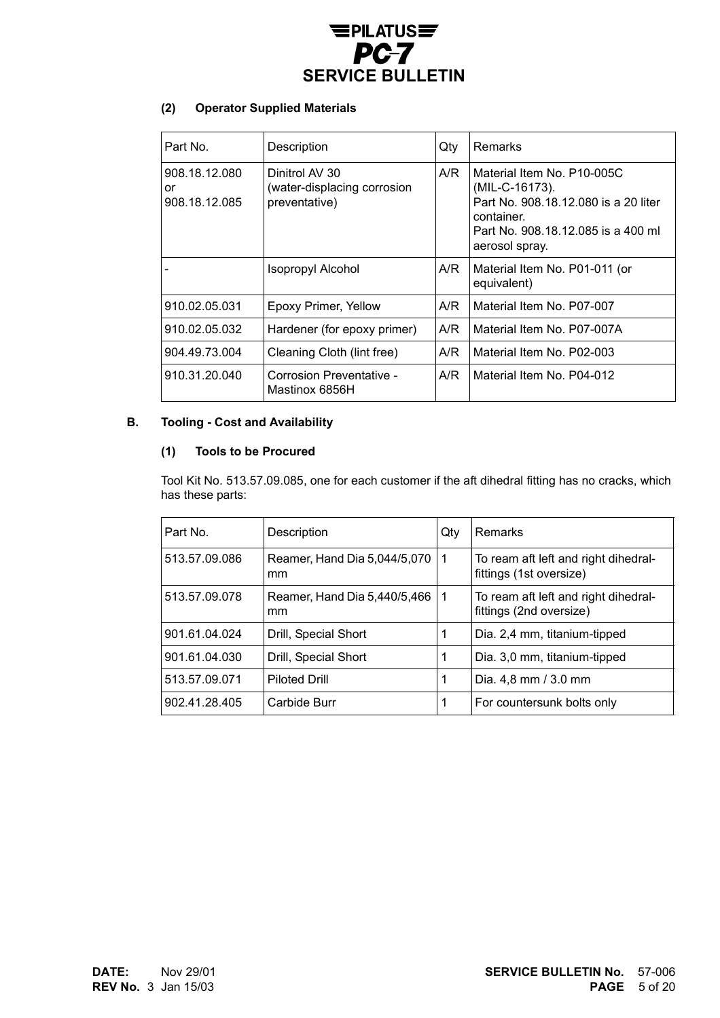

### **(2) Operator Supplied Materials**

| Part No.                             | Description                                                    | Qty | Remarks                                                                                                                                                    |
|--------------------------------------|----------------------------------------------------------------|-----|------------------------------------------------------------------------------------------------------------------------------------------------------------|
| 908.18.12.080<br>or<br>908.18.12.085 | Dinitrol AV 30<br>(water-displacing corrosion<br>preventative) | A/R | Material Item No. P10-005C<br>(MIL-C-16173).<br>Part No. 908.18.12.080 is a 20 liter<br>container.<br>Part No. 908.18.12.085 is a 400 ml<br>aerosol spray. |
|                                      | <b>Isopropyl Alcohol</b>                                       | A/R | Material Item No. P01-011 (or<br>equivalent)                                                                                                               |
| 910.02.05.031                        | Epoxy Primer, Yellow                                           | A/R | Material Item No. P07-007                                                                                                                                  |
| 910.02.05.032                        | Hardener (for epoxy primer)                                    | A/R | Material Item No. P07-007A                                                                                                                                 |
| 904.49.73.004                        | Cleaning Cloth (lint free)                                     | A/R | Material Item No. P02-003                                                                                                                                  |
| 910.31.20.040                        | Corrosion Preventative -<br>Mastinox 6856H                     | A/R | Material Item No. P04-012                                                                                                                                  |

# **B. Tooling - Cost and Availability**

#### **(1) Tools to be Procured**

Tool Kit No. 513.57.09.085, one for each customer if the aft dihedral fitting has no cracks, which has these parts:

| Part No.      | Description                        | Qty | Remarks                                                         |
|---------------|------------------------------------|-----|-----------------------------------------------------------------|
| 513.57.09.086 | Reamer, Hand Dia 5,044/5,070<br>mm | 1   | To ream aft left and right dihedral-<br>fittings (1st oversize) |
| 513.57.09.078 | Reamer, Hand Dia 5,440/5,466<br>mm | 1   | To ream aft left and right dihedral-<br>fittings (2nd oversize) |
| 901.61.04.024 | Drill, Special Short               |     | Dia. 2,4 mm, titanium-tipped                                    |
| 901.61.04.030 | Drill, Special Short               | 1   | Dia. 3,0 mm, titanium-tipped                                    |
| 513.57.09.071 | <b>Piloted Drill</b>               |     | Dia. 4,8 mm / 3.0 mm                                            |
| 902.41.28.405 | Carbide Burr                       |     | For countersunk bolts only                                      |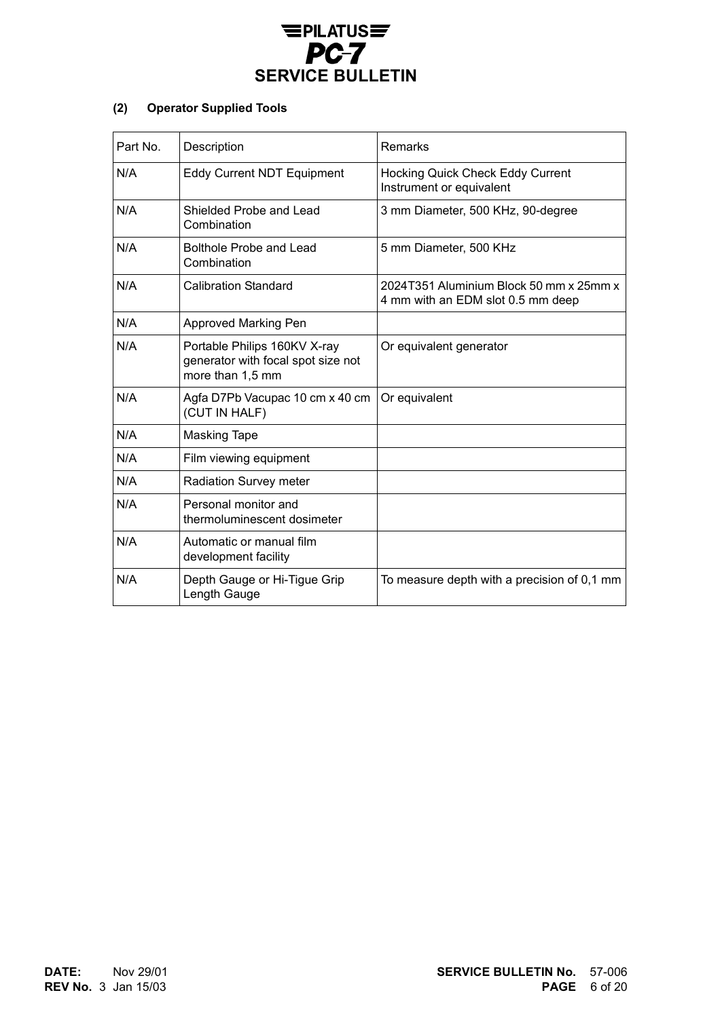

# **(2) Operator Supplied Tools**

| Part No. | Description                                                                            | Remarks                                                                      |
|----------|----------------------------------------------------------------------------------------|------------------------------------------------------------------------------|
| N/A      | <b>Eddy Current NDT Equipment</b>                                                      | <b>Hocking Quick Check Eddy Current</b><br>Instrument or equivalent          |
| N/A      | Shielded Probe and Lead<br>Combination                                                 | 3 mm Diameter, 500 KHz, 90-degree                                            |
| N/A      | Bolthole Probe and Lead<br>Combination                                                 | 5 mm Diameter, 500 KHz                                                       |
| N/A      | <b>Calibration Standard</b>                                                            | 2024T351 Aluminium Block 50 mm x 25mm x<br>4 mm with an EDM slot 0.5 mm deep |
| N/A      | <b>Approved Marking Pen</b>                                                            |                                                                              |
| N/A      | Portable Philips 160KV X-ray<br>generator with focal spot size not<br>more than 1,5 mm | Or equivalent generator                                                      |
| N/A      | Agfa D7Pb Vacupac 10 cm x 40 cm<br>(CUT IN HALF)                                       | Or equivalent                                                                |
| N/A      | <b>Masking Tape</b>                                                                    |                                                                              |
| N/A      | Film viewing equipment                                                                 |                                                                              |
| N/A      | Radiation Survey meter                                                                 |                                                                              |
| N/A      | Personal monitor and<br>thermoluminescent dosimeter                                    |                                                                              |
| N/A      | Automatic or manual film<br>development facility                                       |                                                                              |
| N/A      | Depth Gauge or Hi-Tigue Grip<br>Length Gauge                                           | To measure depth with a precision of 0,1 mm                                  |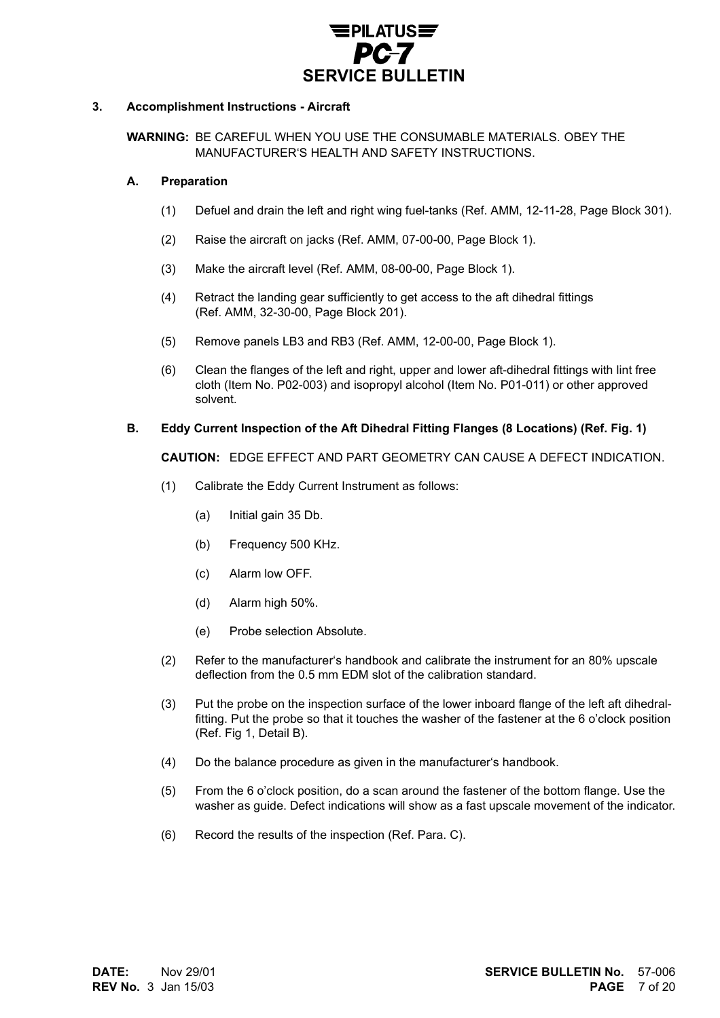

#### **3. Accomplishment Instructions - Aircraft**

**WARNING:** BE CAREFUL WHEN YOU USE THE CONSUMABLE MATERIALS. OBEY THE MANUFACTURER'S HEALTH AND SAFETY INSTRUCTIONS.

#### **A. Preparation**

- (1) Defuel and drain the left and right wing fuel-tanks (Ref. AMM, 12-11-28, Page Block 301).
- (2) Raise the aircraft on jacks (Ref. AMM, 07-00-00, Page Block 1).
- (3) Make the aircraft level (Ref. AMM, 08-00-00, Page Block 1).
- (4) Retract the landing gear sufficiently to get access to the aft dihedral fittings (Ref. AMM, 32-30-00, Page Block 201).
- (5) Remove panels LB3 and RB3 (Ref. AMM, 12-00-00, Page Block 1).
- (6) Clean the flanges of the left and right, upper and lower aft-dihedral fittings with lint free cloth (Item No. P02-003) and isopropyl alcohol (Item No. P01-011) or other approved solvent.

#### **B. Eddy Current Inspection of the Aft Dihedral Fitting Flanges (8 Locations) (Ref. Fig. 1)**

**CAUTION:** EDGE EFFECT AND PART GEOMETRY CAN CAUSE A DEFECT INDICATION.

- (1) Calibrate the Eddy Current Instrument as follows:
	- (a) Initial gain 35 Db.
	- (b) Frequency 500 KHz.
	- (c) Alarm low OFF.
	- (d) Alarm high 50%.
	- (e) Probe selection Absolute.
- (2) Refer to the manufacturer's handbook and calibrate the instrument for an 80% upscale deflection from the 0.5 mm EDM slot of the calibration standard.
- (3) Put the probe on the inspection surface of the lower inboard flange of the left aft dihedralfitting. Put the probe so that it touches the washer of the fastener at the 6 o'clock position (Ref. Fig 1, Detail B).
- (4) Do the balance procedure as given in the manufacturer's handbook.
- (5) From the 6 o'clock position, do a scan around the fastener of the bottom flange. Use the washer as guide. Defect indications will show as a fast upscale movement of the indicator.
- (6) Record the results of the inspection (Ref. Para. C).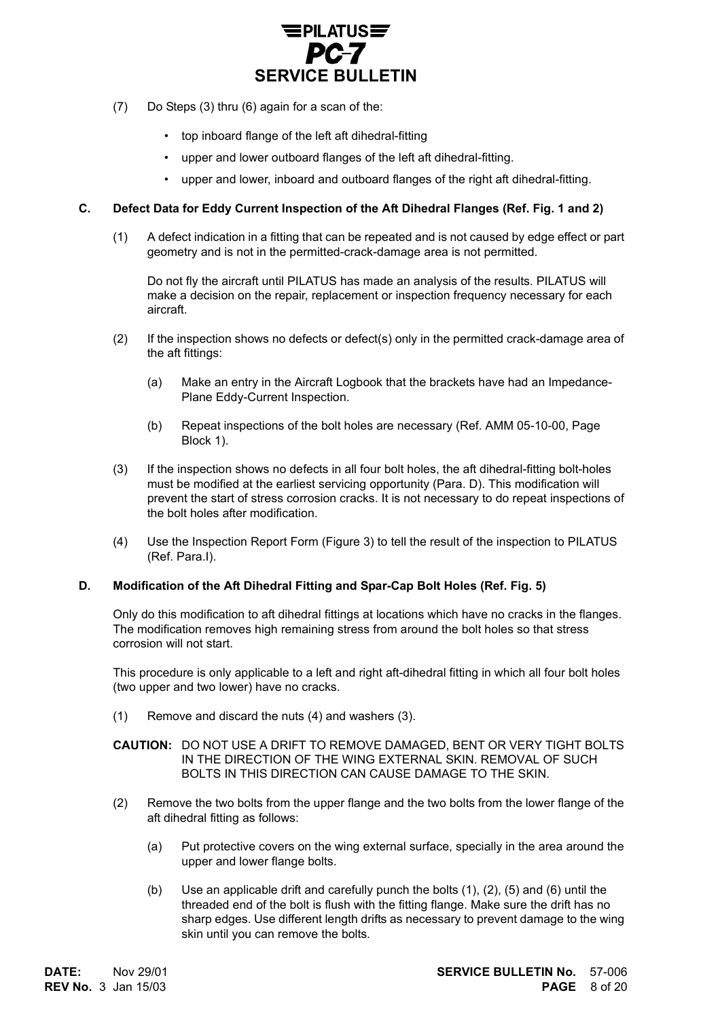

- (7) Do Steps (3) thru (6) again for a scan of the:
	- top inboard flange of the left aft dihedral-fitting
	- upper and lower outboard flanges of the left aft dihedral-fitting.
	- upper and lower, inboard and outboard flanges of the right aft dihedral-fitting.

#### **C. Defect Data for Eddy Current Inspection of the Aft Dihedral Flanges (Ref. Fig. 1 and 2)**

(1) A defect indication in a fitting that can be repeated and is not caused by edge effect or part geometry and is not in the permitted-crack-damage area is not permitted.

Do not fly the aircraft until PILATUS has made an analysis of the results. PILATUS will make a decision on the repair, replacement or inspection frequency necessary for each aircraft.

- (2) If the inspection shows no defects or defect(s) only in the permitted crack-damage area of the aft fittings:
	- (a) Make an entry in the Aircraft Logbook that the brackets have had an Impedance-Plane Eddy-Current Inspection.
	- (b) Repeat inspections of the bolt holes are necessary (Ref. AMM 05-10-00, Page Block 1).
- (3) If the inspection shows no defects in all four bolt holes, the aft dihedral-fitting bolt-holes must be modified at the earliest servicing opportunity (Para. D). This modification will prevent the start of stress corrosion cracks. It is not necessary to do repeat inspections of the bolt holes after modification.
- (4) Use the Inspection Report Form (Figure 3) to tell the result of the inspection to PILATUS (Ref. Para.I).

#### **D. Modification of the Aft Dihedral Fitting and Spar-Cap Bolt Holes (Ref. Fig. 5)**

Only do this modification to aft dihedral fittings at locations which have no cracks in the flanges. The modification removes high remaining stress from around the bolt holes so that stress corrosion will not start.

This procedure is only applicable to a left and right aft-dihedral fitting in which all four bolt holes (two upper and two lower) have no cracks.

(1) Remove and discard the nuts (4) and washers (3).

#### **CAUTION:** DO NOT USE A DRIFT TO REMOVE DAMAGED, BENT OR VERY TIGHT BOLTS IN THE DIRECTION OF THE WING EXTERNAL SKIN. REMOVAL OF SUCH BOLTS IN THIS DIRECTION CAN CAUSE DAMAGE TO THE SKIN.

- (2) Remove the two bolts from the upper flange and the two bolts from the lower flange of the aft dihedral fitting as follows:
	- (a) Put protective covers on the wing external surface, specially in the area around the upper and lower flange bolts.
	- (b) Use an applicable drift and carefully punch the bolts (1), (2), (5) and (6) until the threaded end of the bolt is flush with the fitting flange. Make sure the drift has no sharp edges. Use different length drifts as necessary to prevent damage to the wing skin until you can remove the bolts.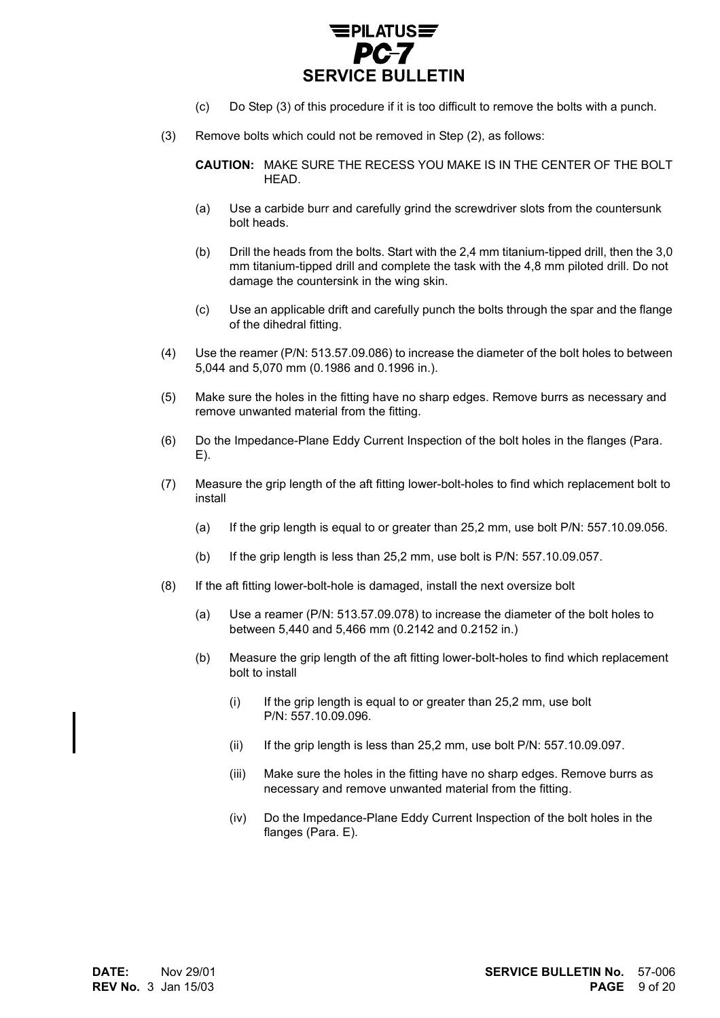

- (c) Do Step (3) of this procedure if it is too difficult to remove the bolts with a punch.
- (3) Remove bolts which could not be removed in Step (2), as follows:

**CAUTION:** MAKE SURE THE RECESS YOU MAKE IS IN THE CENTER OF THE BOLT HEAD.

- (a) Use a carbide burr and carefully grind the screwdriver slots from the countersunk bolt heads.
- (b) Drill the heads from the bolts. Start with the 2,4 mm titanium-tipped drill, then the 3,0 mm titanium-tipped drill and complete the task with the 4,8 mm piloted drill. Do not damage the countersink in the wing skin.
- (c) Use an applicable drift and carefully punch the bolts through the spar and the flange of the dihedral fitting.
- (4) Use the reamer (P/N: 513.57.09.086) to increase the diameter of the bolt holes to between 5,044 and 5,070 mm (0.1986 and 0.1996 in.).
- (5) Make sure the holes in the fitting have no sharp edges. Remove burrs as necessary and remove unwanted material from the fitting.
- (6) Do the Impedance-Plane Eddy Current Inspection of the bolt holes in the flanges (Para. E).
- (7) Measure the grip length of the aft fitting lower-bolt-holes to find which replacement bolt to install
	- (a) If the grip length is equal to or greater than 25,2 mm, use bolt P/N: 557.10.09.056.
	- (b) If the grip length is less than 25,2 mm, use bolt is P/N: 557.10.09.057.
- (8) If the aft fitting lower-bolt-hole is damaged, install the next oversize bolt
	- (a) Use a reamer (P/N: 513.57.09.078) to increase the diameter of the bolt holes to between 5,440 and 5,466 mm (0.2142 and 0.2152 in.)
	- (b) Measure the grip length of the aft fitting lower-bolt-holes to find which replacement bolt to install
		- $(i)$  If the grip length is equal to or greater than 25,2 mm, use bolt P/N: 557.10.09.096.
		- (ii) If the grip length is less than 25,2 mm, use bolt P/N: 557.10.09.097.
		- (iii) Make sure the holes in the fitting have no sharp edges. Remove burrs as necessary and remove unwanted material from the fitting.
		- (iv) Do the Impedance-Plane Eddy Current Inspection of the bolt holes in the flanges (Para. E).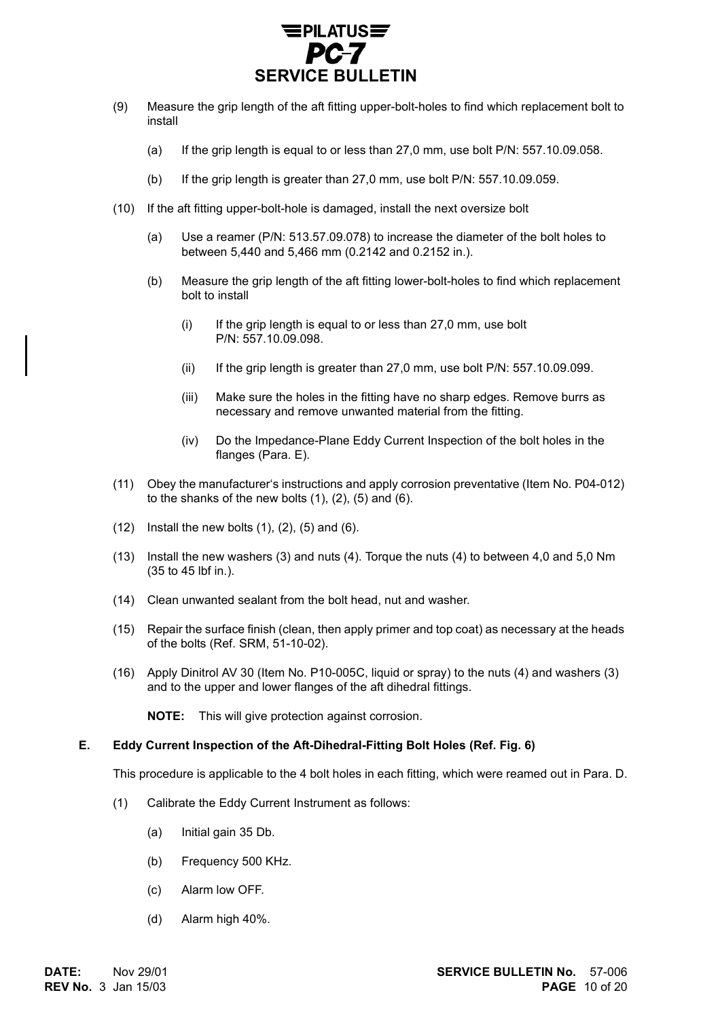

- (9) Measure the grip length of the aft fitting upper-bolt-holes to find which replacement bolt to install
	- (a) If the grip length is equal to or less than 27,0 mm, use bolt P/N: 557.10.09.058.
	- (b) If the grip length is greater than 27,0 mm, use bolt P/N: 557.10.09.059.
- (10) If the aft fitting upper-bolt-hole is damaged, install the next oversize bolt
	- (a) Use a reamer (P/N: 513.57.09.078) to increase the diameter of the bolt holes to between 5,440 and 5,466 mm (0.2142 and 0.2152 in.).
	- (b) Measure the grip length of the aft fitting lower-bolt-holes to find which replacement bolt to install
		- $(i)$  If the grip length is equal to or less than 27,0 mm, use bolt P/N: 557.10.09.098.
		- (ii) If the grip length is greater than 27,0 mm, use bolt P/N: 557.10.09.099.
		- (iii) Make sure the holes in the fitting have no sharp edges. Remove burrs as necessary and remove unwanted material from the fitting.
		- (iv) Do the Impedance-Plane Eddy Current Inspection of the bolt holes in the flanges (Para. E).
- (11) Obey the manufacturer's instructions and apply corrosion preventative (Item No. P04-012) to the shanks of the new bolts  $(1)$ ,  $(2)$ ,  $(5)$  and  $(6)$ .
- $(12)$  Install the new bolts  $(1)$ ,  $(2)$ ,  $(5)$  and  $(6)$ .
- (13) Install the new washers (3) and nuts (4). Torque the nuts (4) to between 4,0 and 5,0 Nm (35 to 45 lbf in.).
- (14) Clean unwanted sealant from the bolt head, nut and washer.
- (15) Repair the surface finish (clean, then apply primer and top coat) as necessary at the heads of the bolts (Ref. SRM, 51-10-02).
- (16) Apply Dinitrol AV 30 (Item No. P10-005C, liquid or spray) to the nuts (4) and washers (3) and to the upper and lower flanges of the aft dihedral fittings.

**NOTE:** This will give protection against corrosion.

#### **E. Eddy Current Inspection of the Aft-Dihedral-Fitting Bolt Holes (Ref. Fig. 6)**

This procedure is applicable to the 4 bolt holes in each fitting, which were reamed out in Para. D.

- (1) Calibrate the Eddy Current Instrument as follows:
	- (a) Initial gain 35 Db.
	- (b) Frequency 500 KHz.
	- (c) Alarm low OFF.
	- (d) Alarm high 40%.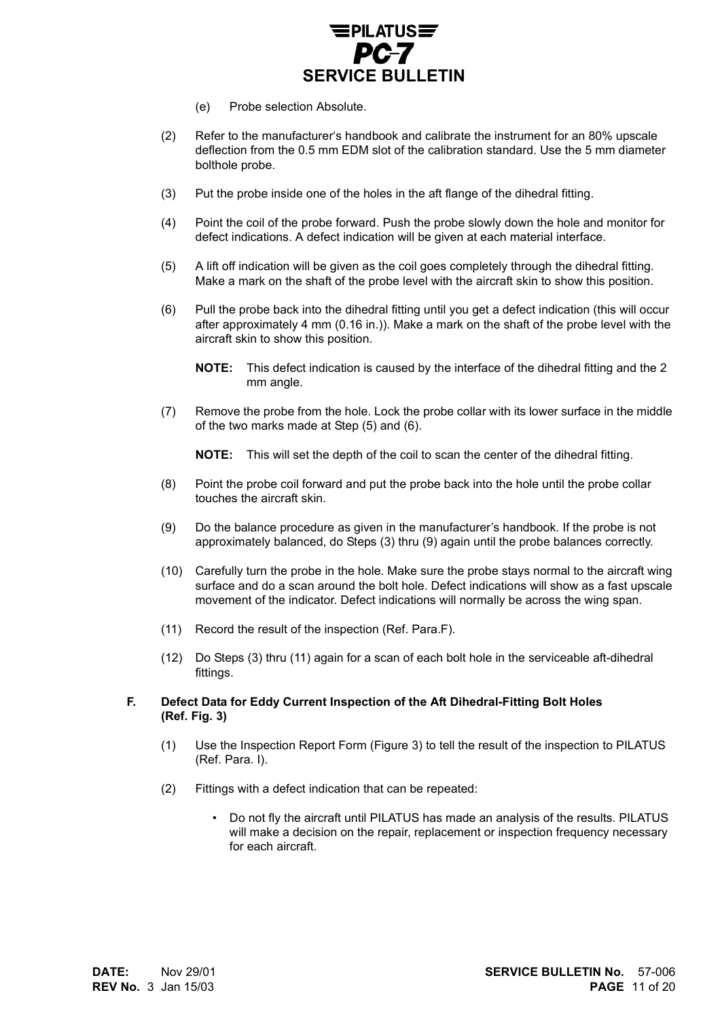

- (e) Probe selection Absolute.
- (2) Refer to the manufacturer's handbook and calibrate the instrument for an 80% upscale deflection from the 0.5 mm EDM slot of the calibration standard. Use the 5 mm diameter bolthole probe.
- (3) Put the probe inside one of the holes in the aft flange of the dihedral fitting.
- (4) Point the coil of the probe forward. Push the probe slowly down the hole and monitor for defect indications. A defect indication will be given at each material interface.
- (5) A lift off indication will be given as the coil goes completely through the dihedral fitting. Make a mark on the shaft of the probe level with the aircraft skin to show this position.
- (6) Pull the probe back into the dihedral fitting until you get a defect indication (this will occur after approximately 4 mm (0.16 in.)). Make a mark on the shaft of the probe level with the aircraft skin to show this position.
	- **NOTE:** This defect indication is caused by the interface of the dihedral fitting and the 2 mm angle.
- (7) Remove the probe from the hole. Lock the probe collar with its lower surface in the middle of the two marks made at Step (5) and (6).

**NOTE:** This will set the depth of the coil to scan the center of the dihedral fitting.

- (8) Point the probe coil forward and put the probe back into the hole until the probe collar touches the aircraft skin.
- (9) Do the balance procedure as given in the manufacturer's handbook. If the probe is not approximately balanced, do Steps (3) thru (9) again until the probe balances correctly.
- (10) Carefully turn the probe in the hole. Make sure the probe stays normal to the aircraft wing surface and do a scan around the bolt hole. Defect indications will show as a fast upscale movement of the indicator. Defect indications will normally be across the wing span.
- (11) Record the result of the inspection (Ref. Para.F).
- (12) Do Steps (3) thru (11) again for a scan of each bolt hole in the serviceable aft-dihedral fittings.
- **F. Defect Data for Eddy Current Inspection of the Aft Dihedral-Fitting Bolt Holes (Ref. Fig. 3)**
	- (1) Use the Inspection Report Form (Figure 3) to tell the result of the inspection to PILATUS (Ref. Para. I).
	- (2) Fittings with a defect indication that can be repeated:
		- Do not fly the aircraft until PILATUS has made an analysis of the results. PILATUS will make a decision on the repair, replacement or inspection frequency necessary for each aircraft.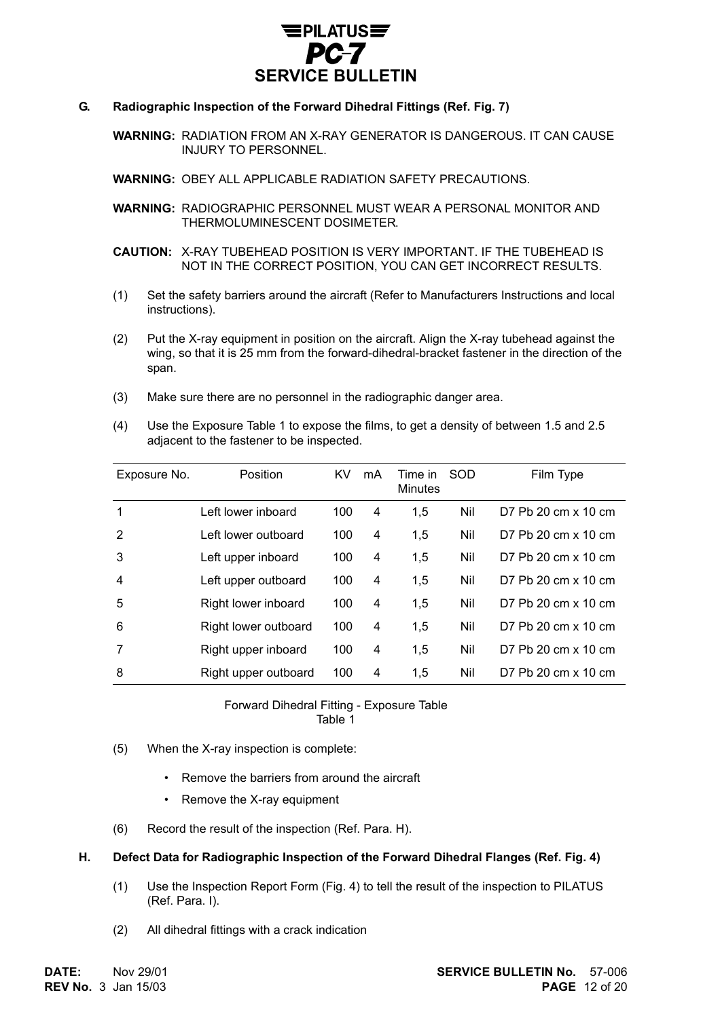

#### **G. Radiographic Inspection of the Forward Dihedral Fittings (Ref. Fig. 7)**

**WARNING:** RADIATION FROM AN X-RAY GENERATOR IS DANGEROUS. IT CAN CAUSE INJURY TO PERSONNEL.

**WARNING:** OBEY ALL APPLICABLE RADIATION SAFETY PRECAUTIONS.

**WARNING:** RADIOGRAPHIC PERSONNEL MUST WEAR A PERSONAL MONITOR AND THERMOLUMINESCENT DOSIMETER.

**CAUTION:** X-RAY TUBEHEAD POSITION IS VERY IMPORTANT. IF THE TUBEHEAD IS NOT IN THE CORRECT POSITION, YOU CAN GET INCORRECT RESULTS.

- (1) Set the safety barriers around the aircraft (Refer to Manufacturers Instructions and local instructions).
- (2) Put the X-ray equipment in position on the aircraft. Align the X-ray tubehead against the wing, so that it is 25 mm from the forward-dihedral-bracket fastener in the direction of the span.
- (3) Make sure there are no personnel in the radiographic danger area.
- (4) Use the Exposure Table 1 to expose the films, to get a density of between 1.5 and 2.5 adjacent to the fastener to be inspected.

| Exposure No. | Position             | <b>KV</b> | mA | Time in<br><b>Minutes</b> | SOD | Film Type           |
|--------------|----------------------|-----------|----|---------------------------|-----|---------------------|
| 1            | Left lower inboard   | 100       | 4  | 1,5                       | Nil | D7 Pb 20 cm x 10 cm |
| 2            | Left lower outboard  | 100       | 4  | 1,5                       | Nil | D7 Pb 20 cm x 10 cm |
| 3            | Left upper inboard   | 100       | 4  | 1,5                       | Nil | D7 Pb 20 cm x 10 cm |
| 4            | Left upper outboard  | 100       | 4  | 1,5                       | Nil | D7 Pb 20 cm x 10 cm |
| 5            | Right lower inboard  | 100       | 4  | 1,5                       | Nil | D7 Pb 20 cm x 10 cm |
| 6            | Right lower outboard | 100       | 4  | 1,5                       | Nil | D7 Pb 20 cm x 10 cm |
|              | Right upper inboard  | 100       | 4  | 1,5                       | Nil | D7 Pb 20 cm x 10 cm |
| 8            | Right upper outboard | 100       | 4  | 1,5                       | Nil | D7 Pb 20 cm x 10 cm |

#### Forward Dihedral Fitting - Exposure Table Table 1

- (5) When the X-ray inspection is complete:
	- Remove the barriers from around the aircraft
	- Remove the X-ray equipment
- (6) Record the result of the inspection (Ref. Para. H).

#### **H. Defect Data for Radiographic Inspection of the Forward Dihedral Flanges (Ref. Fig. 4)**

- (1) Use the Inspection Report Form (Fig. 4) to tell the result of the inspection to PILATUS (Ref. Para. I).
- (2) All dihedral fittings with a crack indication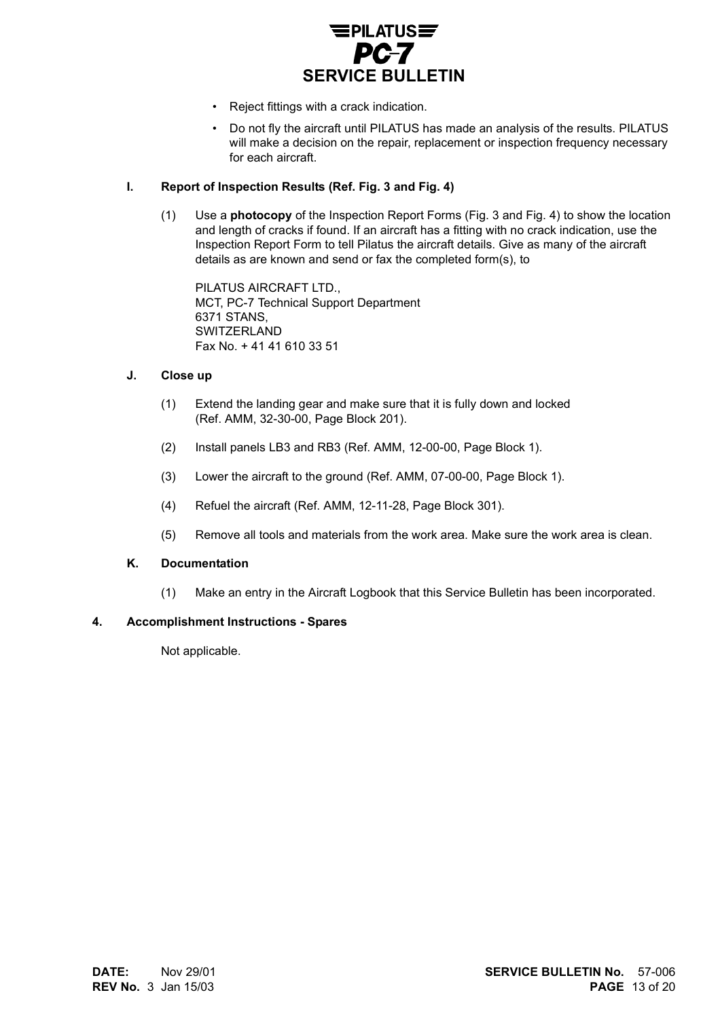

- Reject fittings with a crack indication.
- Do not fly the aircraft until PILATUS has made an analysis of the results. PILATUS will make a decision on the repair, replacement or inspection frequency necessary for each aircraft.

#### **I. Report of Inspection Results (Ref. Fig. 3 and Fig. 4)**

(1) Use a **photocopy** of the Inspection Report Forms (Fig. 3 and Fig. 4) to show the location and length of cracks if found. If an aircraft has a fitting with no crack indication, use the Inspection Report Form to tell Pilatus the aircraft details. Give as many of the aircraft details as are known and send or fax the completed form(s), to

PILATUS AIRCRAFT LTD., MCT, PC-7 Technical Support Department 6371 STANS, **SWITZERLAND** Fax No. + 41 41 610 33 51

#### **J. Close up**

- (1) Extend the landing gear and make sure that it is fully down and locked (Ref. AMM, 32-30-00, Page Block 201).
- (2) Install panels LB3 and RB3 (Ref. AMM, 12-00-00, Page Block 1).
- (3) Lower the aircraft to the ground (Ref. AMM, 07-00-00, Page Block 1).
- (4) Refuel the aircraft (Ref. AMM, 12-11-28, Page Block 301).
- (5) Remove all tools and materials from the work area. Make sure the work area is clean.

#### **K. Documentation**

(1) Make an entry in the Aircraft Logbook that this Service Bulletin has been incorporated.

#### **4. Accomplishment Instructions - Spares**

Not applicable.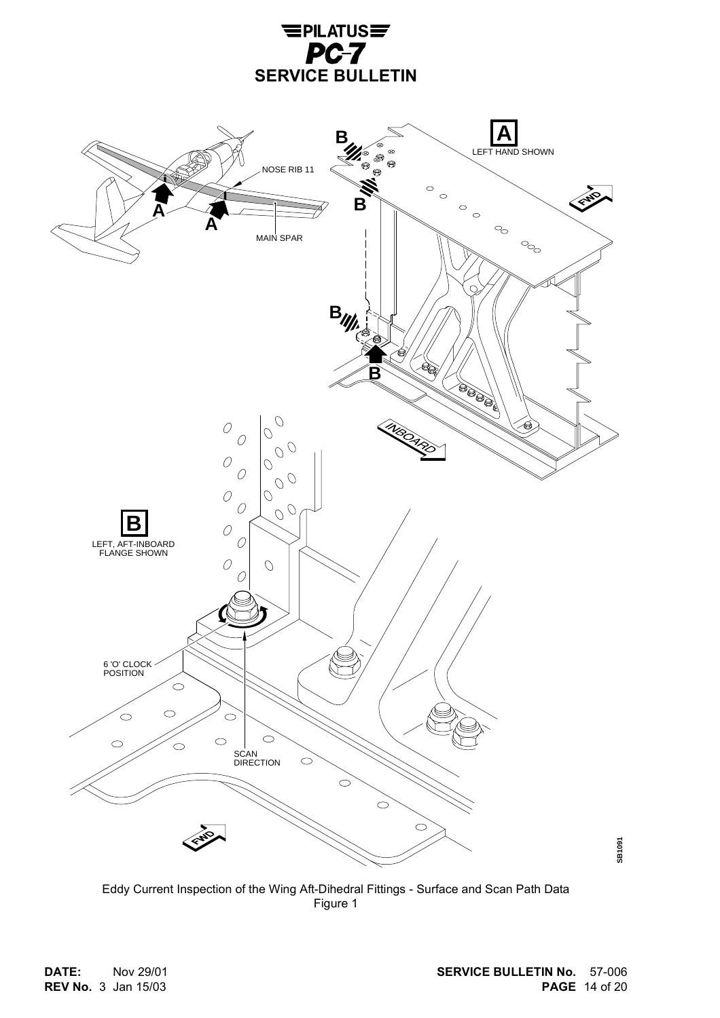



Eddy Current Inspection of the Wing Aft-Dihedral Fittings - Surface and Scan Path Data Figure 1

**REV No.** 3 Jan 15/03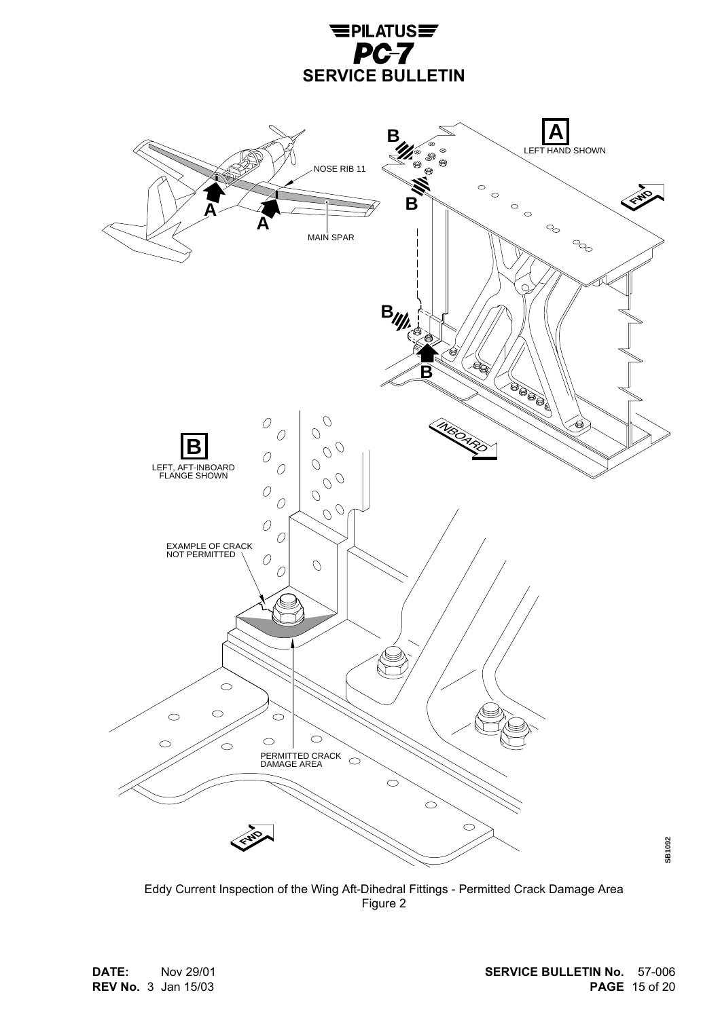



Eddy Current Inspection of the Wing Aft-Dihedral Fittings - Permitted Crack Damage Area Figure 2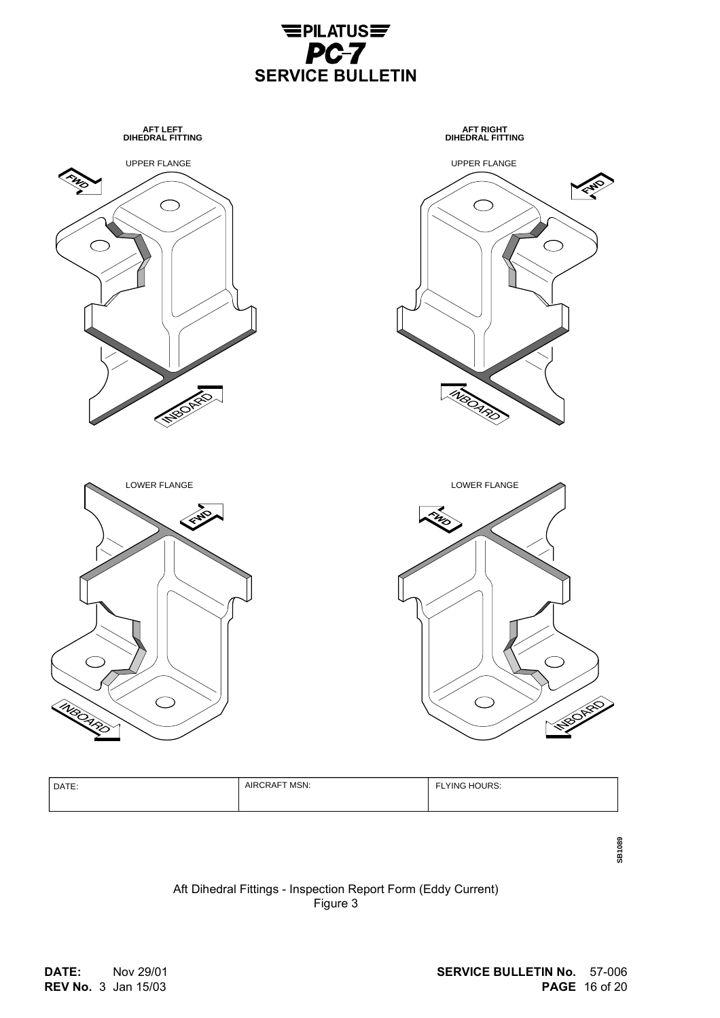



| DATE: | MSN:<br><b>AIRCRAFT</b> | <b>ELYING HOURS:</b><br>. . |
|-------|-------------------------|-----------------------------|
|-------|-------------------------|-----------------------------|

**SB1089**

# Aft Dihedral Fittings - Inspection Report Form (Eddy Current) Figure 3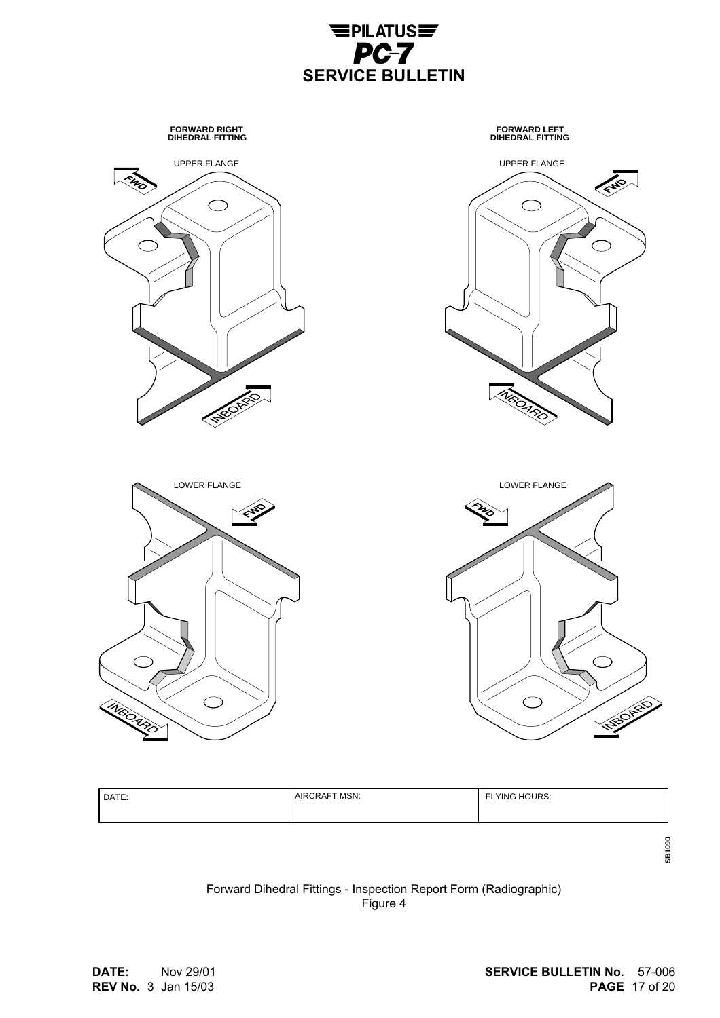

**SERVICE BULLETIN**

 $E$ PILATUS $E$ PC-7

| DATE: | AIRCRAFT MSN: | <b>FLYING HOURS:</b> |
|-------|---------------|----------------------|
|-------|---------------|----------------------|

Forward Dihedral Fittings - Inspection Report Form (Radiographic) Figure 4

**SB1090**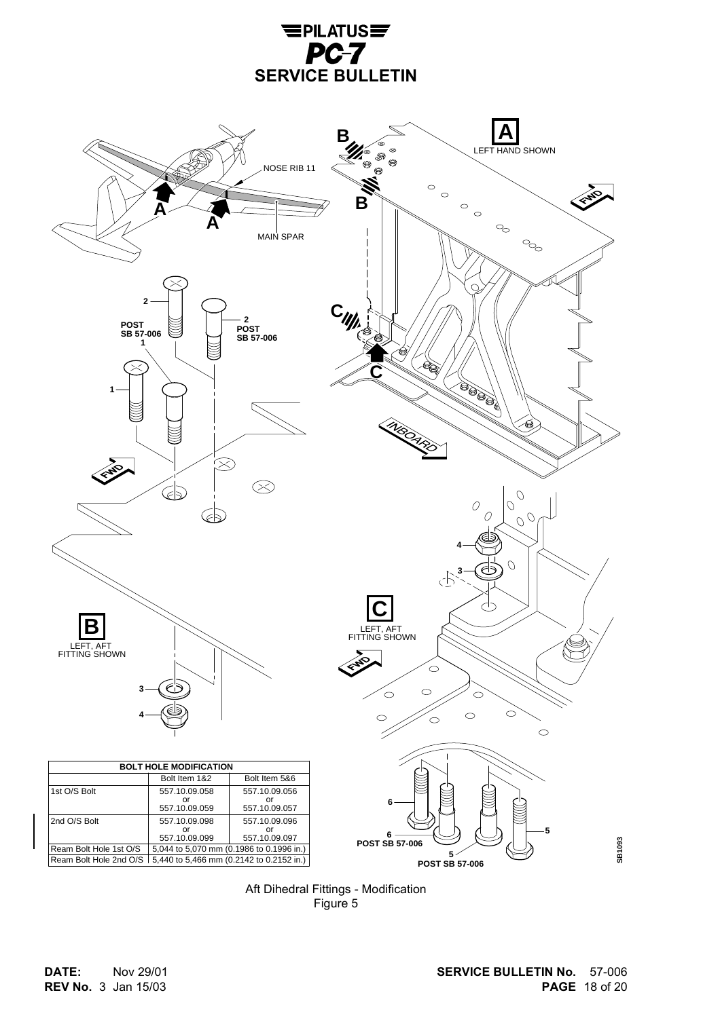



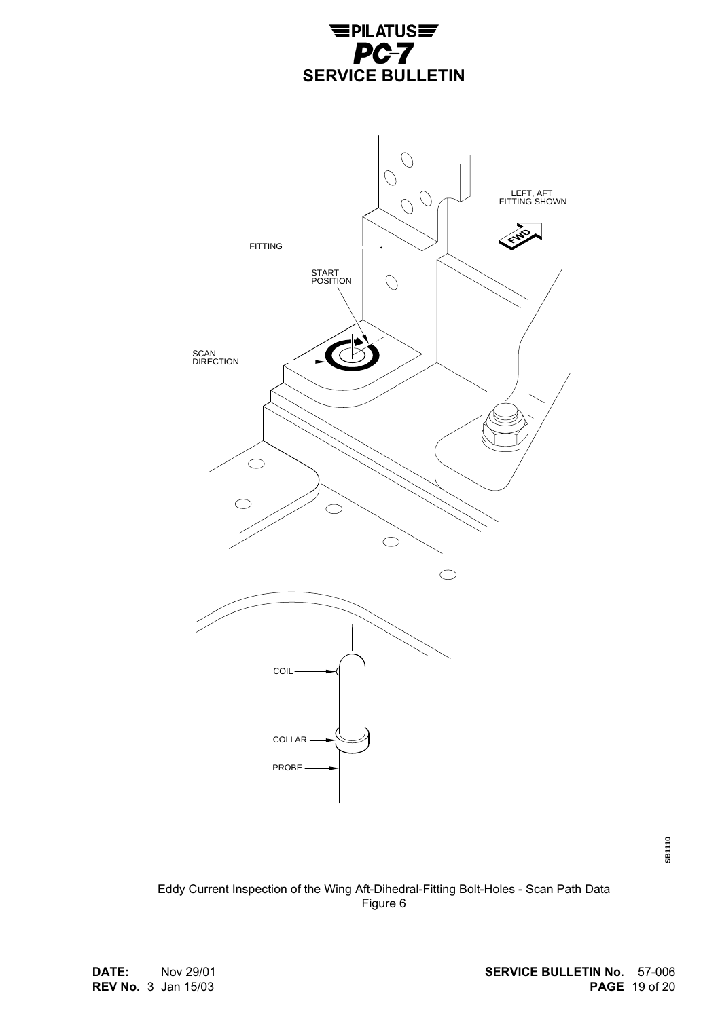



**SB1110**

Eddy Current Inspection of the Wing Aft-Dihedral-Fitting Bolt-Holes - Scan Path Data Figure 6